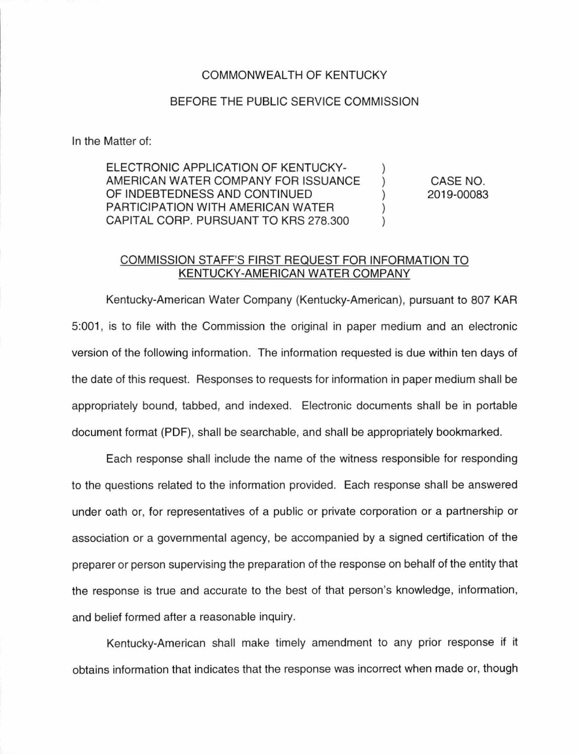## COMMONWEAL TH OF KENTUCKY

## BEFORE THE PUBLIC SERVICE COMMISSION

In the Matter of:

ELECTRONIC APPLICATION OF KENTUCKY-AMERICAN WATER COMPANY FOR ISSUANCE OF INDEBTEDNESS AND CONTINUED PARTICIPATION WITH AMERICAN WATER CAPITAL CORP. PURSUANT TO KRS 278.300 ) ) ) ) )

CASE NO. 2019-00083

## COMMISSION STAFF'S FIRST REQUEST FOR INFORMATION TO KENTUCKY-AMERICAN WATER COMPANY

Kentucky-American Water Company (Kentucky-American), pursuant to 807 KAR 5:001 , is to file with the Commission the original in paper medium and an electronic version of the following information. The information requested is due within ten days of the date of this request. Responses to requests for information in paper medium shall be appropriately bound, tabbed, and indexed. Electronic documents shall be in portable document format (PDF), shall be searchable, and shall be appropriately bookmarked.

Each response shall include the name of the witness responsible for responding to the questions related to the information provided. Each response shall be answered under oath or, for representatives of a public or private corporation or a partnership or association or a governmental agency, be accompanied by a signed certification of the preparer or person supervising the preparation of the response on behalf of the entity that the response is true and accurate to the best of that person's knowledge, information, and belief formed after a reasonable inquiry.

Kentucky-American shall make timely amendment to any prior response if it obtains information that indicates that the response was incorrect when made or, though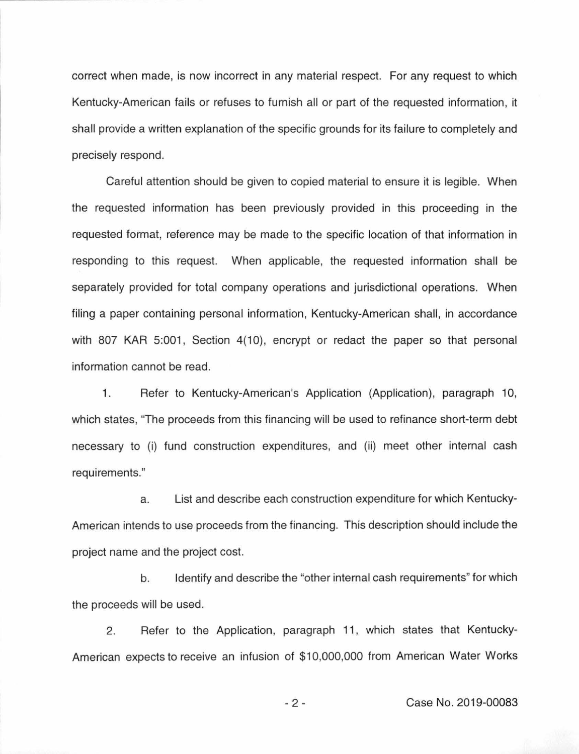correct when made, is now incorrect in any material respect. For any request to which Kentucky-American fails or refuses to furnish all or part of the requested information, it shall provide a written explanation of the specific grounds for its failure to completely and precisely respond.

Careful attention should be given to copied material to ensure it is legible. When the requested information has been previously provided in this proceeding in the requested format, reference may be made to the specific location of that information in responding to this request. When applicable, the requested information shall be separately provided for total company operations and jurisdictional operations. When filing a paper containing personal information, Kentucky-American shall, in accordance with 807 KAR 5:001, Section 4(10), encrypt or redact the paper so that personal information cannot be read.

1. Refer to Kentucky-American's Application (Application), paragraph 10, which states, "The proceeds from this financing will be used to refinance short-term debt necessary to (i) fund construction expenditures, and (ii) meet other internal cash requirements."

a. List and describe each construction expenditure for which Kentucky-American intends to use proceeds from the financing. This description should include the project name and the project cost.

b. Identify and describe the "other internal cash requirements" for which the proceeds will be used.

2. Refer to the Application, paragraph 11 , which states that Kentucky-American expects to receive an infusion of \$10,000,000 from American Water Works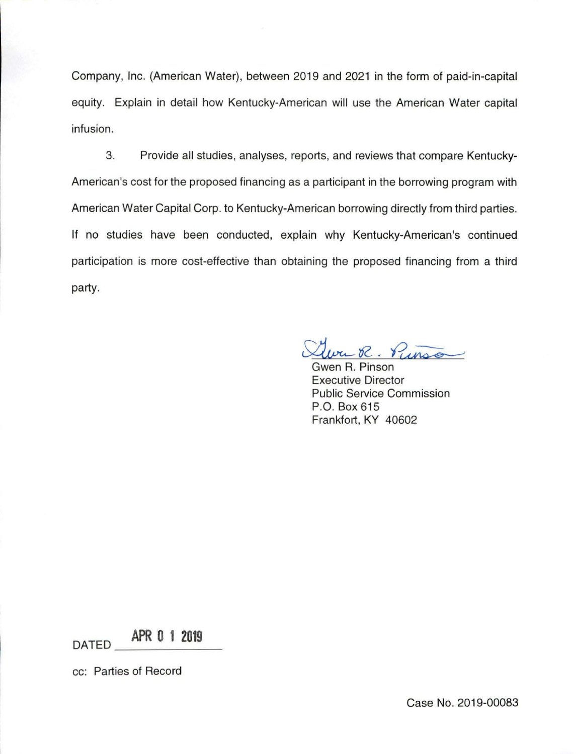Company, Inc. (American Water), between 2019 and 2021 in the form of paid-in-capital equity. Explain in detail how Kentucky-American will use the American Water capital infusion.

3. Provide all studies, analyses, reports, and reviews that compare Kentucky-American's cost for the proposed financing as a participant in the borrowing program with American Water Capital Corp. to Kentucky-American borrowing directly from third parties. If no studies have been conducted, explain why Kentucky-American's continued participation is more cost-effective than obtaining the proposed financing from a third party.

ru R. Pinno

Gwen R. Pinson Executive Director Public Service Commission P.O. Box 615 Frankfort, KY 40602

 $\overline{DATED}$  **APR 0 1 2019** 

cc: Parties of Record